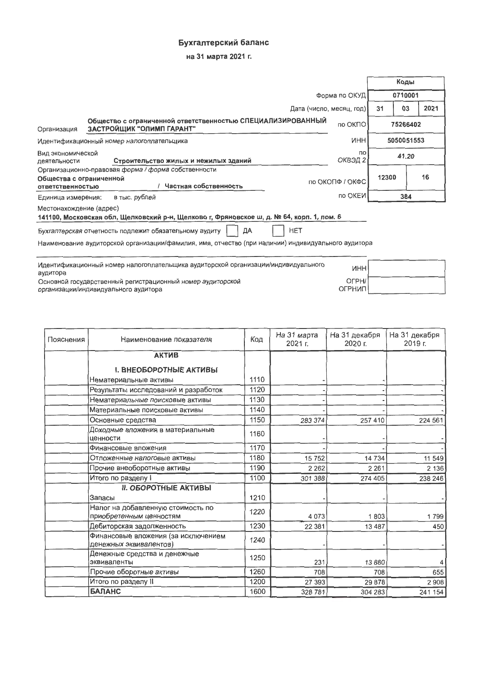## Бухгалтерский баланс

на 31 марта 2021 г.

|                                                                                                                      |                                                                                                    |                          |         | Коды       |      |
|----------------------------------------------------------------------------------------------------------------------|----------------------------------------------------------------------------------------------------|--------------------------|---------|------------|------|
| Форма по ОКУД                                                                                                        |                                                                                                    |                          | 0710001 |            |      |
|                                                                                                                      |                                                                                                    | Дата (число, месяц, год) | 31      | 03         | 2021 |
| Организация                                                                                                          | Общество с ограниченной ответственностью СПЕЦИАЛИЗИРОВАННЫЙ<br>ЗАСТРОЙЩИК "ОЛИМП ГАРАНТ"           | по ОКПО                  |         | 75266402   |      |
|                                                                                                                      | Идентификационный номер налогоплательщика                                                          | <b>NHH</b>               |         | 5050051553 |      |
| Вид экономической<br>пo<br>ОКВЭД 2<br>Строительство жилых и нежилых зданий<br>деятельности                           |                                                                                                    | 41.20                    |         |            |      |
|                                                                                                                      | Организационно-правовая форма / форма собственности                                                |                          |         |            |      |
| Общества с ограниченной<br><b>ОТВЕТСТВЕННОСТЬЮ</b>                                                                   | Частная собственность                                                                              | по ОКОПФ / ОКФС          | 12300   |            | 16   |
| Единица измерения:                                                                                                   | в тыс. рублей                                                                                      | по ОКЕИ                  |         | 384        |      |
| Местонахождение (адрес)<br>141100, Московская обл, Щелковский р-н, Щелково г, Фряновское ш, д. № 64, корп. 1, пом. 6 |                                                                                                    |                          |         |            |      |
| HET<br>Бухгалтерская отчетность подлежит обязательному аудиту<br>ДА                                                  |                                                                                                    |                          |         |            |      |
|                                                                                                                      | Наименование аудиторской организации/фамилия, имя, отчество (при наличии) индивидуального аудитора |                          |         |            |      |
|                                                                                                                      |                                                                                                    |                          |         |            |      |

| Идентификационный номер налогоплательщика аудиторской организации/индивидуального<br>аудитора      | инні              |  |
|----------------------------------------------------------------------------------------------------|-------------------|--|
| Основной государственный регистрационный номер аудиторской<br>организации/индивидуального аудитора | OFPH/<br>ОГРНИП І |  |

| Пояснения | Наименование показателя                                       | Код  | На 31 марта<br>2021 г. | На 31 декабря<br>2020 г. | На 31 декабря<br>2019 г. |
|-----------|---------------------------------------------------------------|------|------------------------|--------------------------|--------------------------|
|           | <b>АКТИВ</b>                                                  |      |                        |                          |                          |
|           | <b>I. ВНЕОБОРОТНЫЕ АКТИВЫ</b>                                 |      |                        |                          |                          |
|           | Нематериальные активы                                         | 1110 |                        |                          |                          |
|           | Результаты исследований и разработок                          | 1120 |                        |                          |                          |
|           | Нематериальные поисковые активы                               | 1130 |                        |                          |                          |
|           | Материальные поисковые активы                                 | 1140 |                        |                          |                          |
|           | Основные средства                                             | 1150 | 283 374                | 257 410                  | 224 561                  |
|           | Доходные вложения в материальные<br>ценности                  | 1160 |                        |                          |                          |
|           | Финансовые вложения                                           | 1170 |                        |                          |                          |
|           | Отложенные налоговые активы                                   | 1180 | 15 752                 | 14 734                   | 11 549                   |
|           | Прочие внеоборотные активы                                    | 1190 | 2 2 6 2                | 2 2 6 1                  | 2 136                    |
|           | Итого по разделу I                                            | 1100 | 301 388                | 274 405                  | 238 246                  |
|           | <b>II. ОБОРОТНЫЕ АКТИВЫ</b>                                   |      |                        |                          |                          |
|           | Запасы                                                        | 1210 |                        |                          |                          |
|           | Налог на добавленную стоимость по<br>приобретенным ценностям  | 1220 | 4 0 7 3                | 1803                     | 1799                     |
|           | Дебиторская задолженность                                     | 1230 | 22 381                 | 13 4 8 7                 | 450                      |
|           | Финансовые вложения (за исключением<br>денежных эквивалентов) | 1240 |                        |                          |                          |
|           | Денежные средства и денежные<br>эквиваленты                   | 1250 | 231                    | 13880                    | 4                        |
|           | Прочие оборотные активы                                       | 1260 | 708                    | 708                      | 655                      |
|           | Итого по разделу II                                           | 1200 | 27 393                 | 29 878                   | 2908                     |
|           | <b>БАЛАНС</b>                                                 | 1600 | 328 781                | 304 283                  | 241 154                  |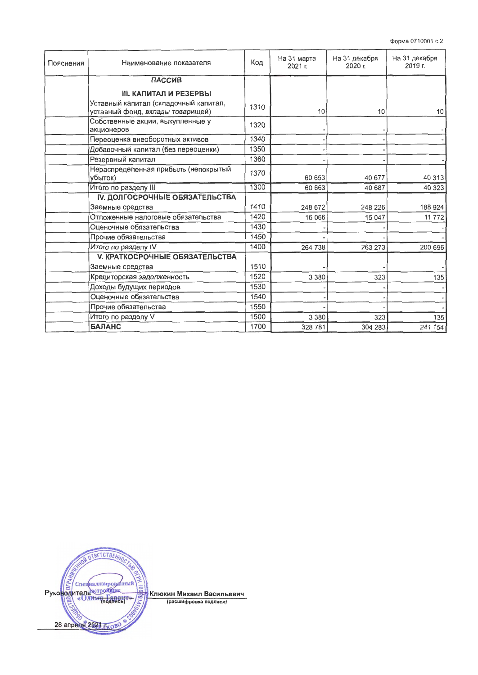| Пояснения | Наименование показателя                         | Код  | На 31 марта<br>2021 г. | На 31 декабря<br>2020 г. | На 31 декабря<br>2019 г. |
|-----------|-------------------------------------------------|------|------------------------|--------------------------|--------------------------|
|           | <b>ПАССИВ</b>                                   |      |                        |                          |                          |
|           | <b>III. КАПИТАЛ И РЕЗЕРВЫ</b>                   |      |                        |                          |                          |
|           | Уставный капитал (складочный капитал,           |      |                        |                          |                          |
|           | уставный фонд, вклады товарищей)                | 1310 | 10                     | 10                       | 10                       |
|           | Собственные акции, выкупленные у<br>акционеров  | 1320 |                        |                          |                          |
|           | Переоценка внеоборотных активов                 | 1340 |                        |                          |                          |
|           | Добавочный капитал (без переоценки)             | 1350 |                        |                          |                          |
|           | Резервный капитал                               | 1360 |                        |                          |                          |
|           | Нераспределенная прибыль (непокрытый<br>убыток) | 1370 | 60 653                 | 40 677                   | 40 313                   |
|           | Итого по разделу III                            | 1300 | 60 663                 | 40 687                   | 40 323                   |
|           | <b>IV. ДОЛГОСРОЧНЫЕ ОБЯЗАТЕЛЬСТВА</b>           |      |                        |                          |                          |
|           | Заемные средства                                | 1410 | 248 672                | 248 226                  | 188 924                  |
|           | Отложенные налоговые обязательства              | 1420 | 16 066                 | 15 047                   | 11 772                   |
|           | Оценочные обязательства                         | 1430 |                        |                          |                          |
|           | Прочие обязательства                            | 1450 |                        |                          |                          |
|           | Итого по разделу IV                             | 1400 | 264 738                | 263 273                  | 200 696                  |
|           | <b>V. КРАТКОСРОЧНЫЕ ОБЯЗАТЕЛЬСТВА</b>           |      |                        |                          |                          |
|           | Заемные средства                                | 1510 |                        |                          |                          |
|           | Кредиторская задолженность                      | 1520 | 3 3 8 0                | 323                      | 135                      |
|           | Доходы будущих периодов                         | 1530 |                        |                          |                          |
|           | Оценочные обязательства                         | 1540 |                        |                          |                          |
|           | Прочие обязательства                            | 1550 |                        |                          |                          |
|           | Итого по разделу V                              | 1500 | 3 3 8 0                | 323                      | 135                      |
|           | <b>БАЛАНС</b>                                   | 1700 | 328 781                | 304 283                  | 241 154                  |

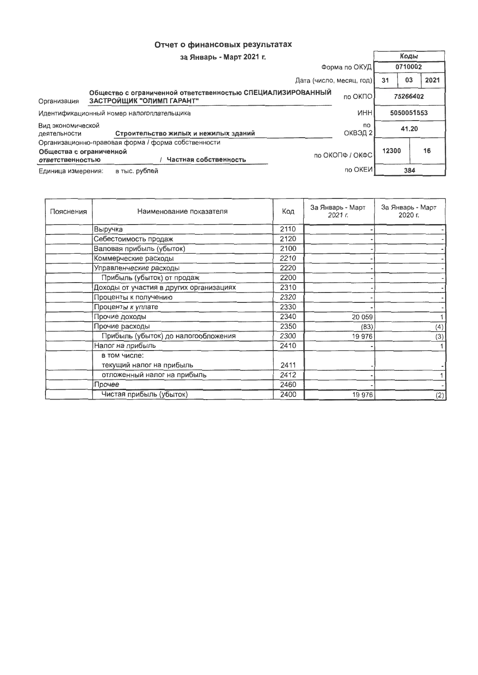## Отчет о финансовых результатах

| за Январь - Март 2021 г.                           |                                                                                          |                          |         | Коды       |      |
|----------------------------------------------------|------------------------------------------------------------------------------------------|--------------------------|---------|------------|------|
| Форма по ОКУД                                      |                                                                                          |                          | 0710002 |            |      |
|                                                    |                                                                                          | Дата (число, месяц, год) | 31      | 03         | 2021 |
| Организация                                        | Общество с ограниченной ответственностью СПЕЦИАЛИЗИРОВАННЫЙ<br>ЗАСТРОЙЩИК "ОЛИМП ГАРАНТ" | по ОКПО                  |         | 75266402   |      |
|                                                    | Идентификационный номер налогоплательщика                                                | <b>MHH</b>               |         | 5050051553 |      |
| Вид экономической<br>деятельности                  | Строительство жилых и нежилых зданий                                                     | <b>no</b><br>ОКВЭД 2     |         | 41.20      |      |
| Общества с ограниченной<br><b>ОТВЕТСТВЕННОСТЬЮ</b> | Организационно-правовая форма / форма собственности<br>Частная собственность             | по ОКОПФ / ОКФС          | 12300   |            | 16   |
| Единица измерения:                                 | в тыс. рублей                                                                            | по ОКЕИ                  |         | 384        |      |

| Пояснения | Наименование показателя                 | Код  | За Январь - Март<br>2021 r. | За Январь - Март<br>2020 г. |
|-----------|-----------------------------------------|------|-----------------------------|-----------------------------|
|           | Выручка                                 | 2110 |                             |                             |
|           | Себестоимость продаж                    | 2120 |                             |                             |
|           | Валовая прибыль (убыток)                | 2100 |                             |                             |
|           | Коммерческие расходы                    | 2210 |                             |                             |
|           | Управленческие расходы                  | 2220 |                             |                             |
|           | Прибыль (убыток) от продаж              | 2200 |                             |                             |
|           | Доходы от участия в других организациях | 2310 |                             |                             |
|           | Проценты к получению                    | 2320 |                             |                             |
|           | Проценты к уплате                       | 2330 |                             |                             |
|           | Прочие доходы                           | 2340 | 20 059                      |                             |
|           | Прочие расходы                          | 2350 | (83)                        | (4)                         |
|           | Прибыль (убыток) до налогообложения     | 2300 | 19 976                      | (3)                         |
|           | Налог на прибыль                        | 2410 |                             |                             |
|           | в том числе:                            |      |                             |                             |
|           | текущий налог на прибыль                | 2411 |                             |                             |
|           | отложенный налог на прибыль             | 2412 |                             |                             |
|           | Прочее                                  | 2460 |                             |                             |
|           | Чистая прибыль (убыток)                 | 2400 | 19 976                      | (2)                         |